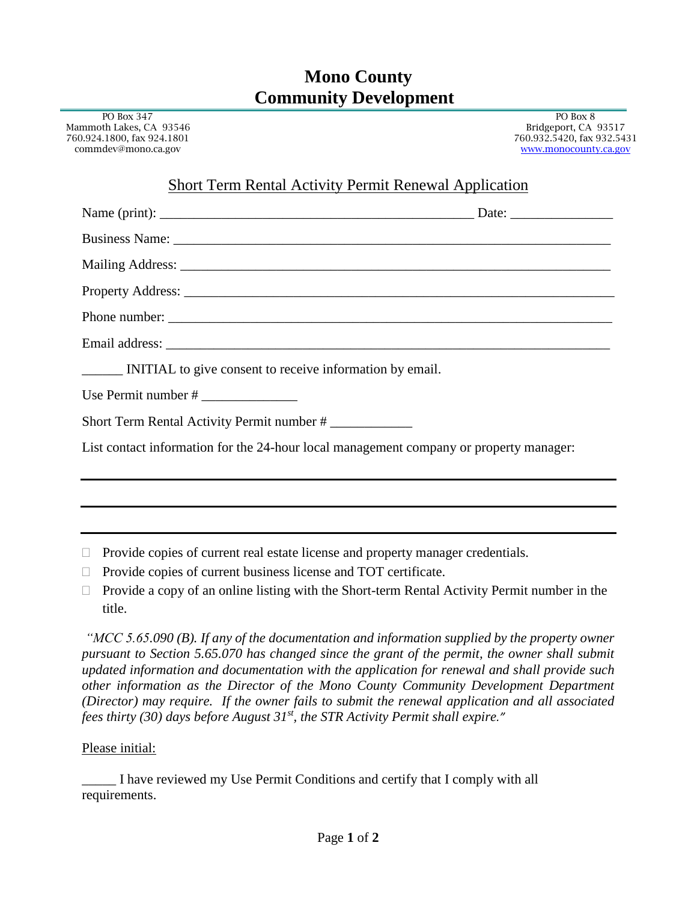## **Mono County Community Development**

| PO Box 347<br>Mammoth Lakes, CA 93546<br>760.924.1800, fax 924.1801<br>commdev@mono.ca.gov | PO Box 8<br>Bridgeport, CA 93517<br>760.932.5420, fax 932.5431 |
|--------------------------------------------------------------------------------------------|----------------------------------------------------------------|
|                                                                                            | www.monocounty.ca.gov                                          |
| <b>Short Term Rental Activity Permit Renewal Application</b>                               |                                                                |
|                                                                                            |                                                                |
|                                                                                            |                                                                |
|                                                                                            |                                                                |
|                                                                                            |                                                                |
|                                                                                            |                                                                |
|                                                                                            |                                                                |
| INITIAL to give consent to receive information by email.                                   |                                                                |
|                                                                                            |                                                                |
| Short Term Rental Activity Permit number #                                                 |                                                                |
| List contact information for the 24-hour local management company or property manager:     |                                                                |
|                                                                                            |                                                                |
|                                                                                            |                                                                |
|                                                                                            |                                                                |
| Provide copies of current real estate license and property manager credentials.            |                                                                |

- $\Box$  Provide copies of current business license and TOT certificate.
- $\Box$  Provide a copy of an online listing with the Short-term Rental Activity Permit number in the title.

*"MCC 5.65.090 (B). If any of the documentation and information supplied by the property owner pursuant to Section 5.65.070 has changed since the grant of the permit, the owner shall submit updated information and documentation with the application for renewal and shall provide such other information as the Director of the Mono County Community Development Department (Director) may require. If the owner fails to submit the renewal application and all associated fees thirty (30) days before August 31st, the STR Activity Permit shall expire."*

## Please initial:

 $\equiv$ 

\_\_\_\_\_ I have reviewed my Use Permit Conditions and certify that I comply with all requirements.